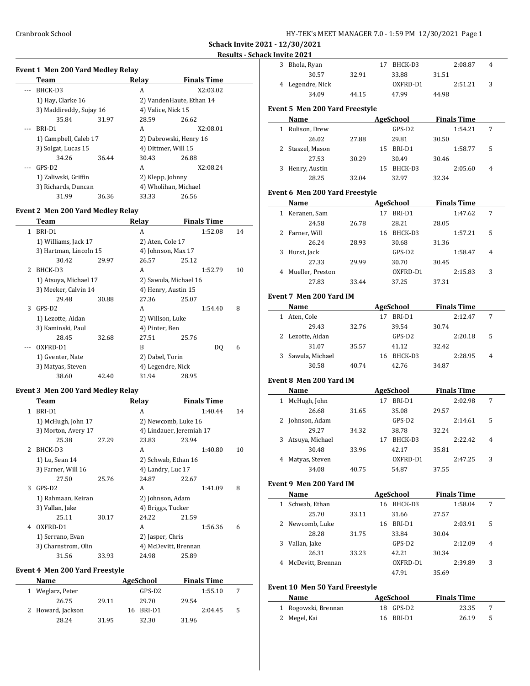**Schack Invite 2021 - 12/30/2021**

### **Results - Schack Invite 2021**

| Team                 |                         | Relav | <b>Finals Time</b>       |  |
|----------------------|-------------------------|-------|--------------------------|--|
| BHCK-D3              |                         | A     | X2:03.02                 |  |
| 1) Hay, Clarke 16    |                         |       | 2) VandenHaute, Ethan 14 |  |
|                      | 3) Maddireddy, Sujay 16 |       | 4) Valice, Nick 15       |  |
| 35.84                | 31.97                   | 28.59 | 26.62                    |  |
| BRI-D1               |                         | A     | X2:08.01                 |  |
|                      | 1) Campbell, Caleb 17   |       | 2) Dabrowski, Henry 16   |  |
| 3) Solgat, Lucas 15  |                         |       | 4) Dittmer, Will 15      |  |
| 34.26                | 36.44                   | 30.43 | 26.88                    |  |
| GPS-D2               |                         | A     | X2:08.24                 |  |
| 1) Zaliwski, Griffin |                         |       | 2) Klepp, Johnny         |  |
| 3) Richards, Duncan  |                         |       | 4) Wholihan, Michael     |  |
| 31.99                | 36.36                   | 33.33 | 26.56                    |  |

### **Event 2 Men 200 Yard Medley Relay**

 $\overline{a}$ 

|               | Team                   |       | Relay                 | <b>Finals Time</b> |         |    |
|---------------|------------------------|-------|-----------------------|--------------------|---------|----|
| 1             | BRI-D1                 |       | A                     |                    | 1:52.08 | 14 |
|               | 1) Williams, Jack 17   |       | 2) Aten, Cole 17      |                    |         |    |
|               | 3) Hartman, Lincoln 15 |       | 4) Johnson, Max 17    |                    |         |    |
|               | 30.42                  | 29.97 | 26.57                 | 25.12              |         |    |
| $\mathcal{L}$ | BHCK-D3                |       | A                     |                    | 1:52.79 | 10 |
|               | 1) Atsuya, Michael 17  |       | 2) Sawula, Michael 16 |                    |         |    |
|               | 3) Meeker, Calvin 14   |       | 4) Henry, Austin 15   |                    |         |    |
|               | 29.48                  | 30.88 | 27.36                 | 25.07              |         |    |
| 3             | GPS-D <sub>2</sub>     |       | A                     |                    | 1:54.40 | 8  |
|               | 1) Lezotte, Aidan      |       | 2) Willson, Luke      |                    |         |    |
|               | 3) Kaminski, Paul      |       | 4) Pinter, Ben        |                    |         |    |
|               | 28.45                  | 32.68 | 27.51                 | 25.76              |         |    |
|               | OXFRD-D1               |       | B                     |                    | DO.     | 6  |
|               | 1) Gventer, Nate       |       | 2) Dabel, Torin       |                    |         |    |
|               | 3) Matyas, Steven      |       | 4) Legendre, Nick     |                    |         |    |
|               | 38.60                  | 42.40 | 31.94                 | 28.95              |         |    |

### **Event 3 Men 200 Yard Medley Relay**

|               | Team                |       | Relay                    | <b>Finals Time</b> |    |
|---------------|---------------------|-------|--------------------------|--------------------|----|
| 1             | BRI-D1              |       | A                        | 1:40.44            | 14 |
|               | 1) McHugh, John 17  |       | 2) Newcomb, Luke 16      |                    |    |
|               | 3) Morton, Avery 17 |       | 4) Lindauer, Jeremiah 17 |                    |    |
|               | 25.38               | 27.29 | 23.83                    | 23.94              |    |
| $\mathcal{L}$ | BHCK-D3             |       | A                        | 1:40.80            | 10 |
|               | 1) Lu, Sean 14      |       | 2) Schwab, Ethan 16      |                    |    |
|               | 3) Farner, Will 16  |       | 4) Landry, Luc 17        |                    |    |
|               | 27.50               | 25.76 | 24.87                    | 22.67              |    |
| 3             | $GPS-D2$            |       | A                        | 1:41.09            | 8  |
|               | 1) Rahmaan, Keiran  |       | 2) Johnson, Adam         |                    |    |
|               | 3) Vallan, Jake     |       | 4) Briggs, Tucker        |                    |    |
|               | 25.11               | 30.17 | 24.22                    | 21.59              |    |
| 4             | OXFRD-D1            |       | A                        | 1:56.36            | 6  |
|               | 1) Serrano, Evan    |       | 2) Jasper, Chris         |                    |    |
|               | 3) Charnstrom, Olin |       | 4) McDevitt, Brennan     |                    |    |
|               | 31.56               | 33.93 | 24.98                    | 25.89              |    |

### **Event 4 Men 200 Yard Freestyle**

| Name              |       | <b>AgeSchool</b> | <b>Finals Time</b> |    |
|-------------------|-------|------------------|--------------------|----|
| 1 Weglarz, Peter  |       | GPS-D2           | 1:55.10            |    |
| 26.75             | 29.11 | 29.70            | 29.54              |    |
| 2 Howard, Jackson |       | BRI-D1<br>16     | 2:04.45            | .5 |
| 28.24             | 31.95 | 32.30            | 31.96              |    |

| 3 | Bhola, Ryan                           |       | BHCK-D3          |       | 2:08.87            | 4 |  |
|---|---------------------------------------|-------|------------------|-------|--------------------|---|--|
|   | 30.57                                 | 32.91 | 33.88            | 31.51 |                    |   |  |
|   | 4 Legendre, Nick                      |       | OXFRD-D1         |       | 2:51.21            | 3 |  |
|   | 34.09                                 | 44.15 | 47.99            | 44.98 |                    |   |  |
|   | <b>Event 5 Men 200 Yard Freestyle</b> |       |                  |       |                    |   |  |
|   | Name                                  |       | <b>AgeSchool</b> |       | <b>Finals Time</b> |   |  |
|   | Dulican Drow                          |       | ሮከሮ ከን           |       | 1.54.71            |   |  |

|   | 1 Rulison, Drew  |       |     | GPS-D2  |       | 1:54.21 |   |  |
|---|------------------|-------|-----|---------|-------|---------|---|--|
|   | 26.02            | 27.88 |     | 29.81   | 30.50 |         |   |  |
|   | 2 Staszel, Mason |       | 15. | BRI-D1  |       | 1:58.77 | 5 |  |
|   | 27.53            | 30.29 |     | 30.49   | 30.46 |         |   |  |
| 3 | Henry, Austin    |       | 15. | BHCK-D3 |       | 2:05.60 | 4 |  |
|   | 28.25            | 32.04 |     | 32.97   | 32.34 |         |   |  |

### **Event 6 Men 200 Yard Freestyle**

|   | Name             |       |    | AgeSchool |       | <b>Finals Time</b> |                |  |
|---|------------------|-------|----|-----------|-------|--------------------|----------------|--|
|   | 1 Keranen, Sam   |       | 17 | BRI-D1    |       | 1:47.62            | 7              |  |
|   | 24.58            | 26.78 |    | 28.21     | 28.05 |                    |                |  |
|   | 2 Farner, Will   |       | 16 | BHCK-D3   |       | 1:57.21            | 5              |  |
|   | 26.24            | 28.93 |    | 30.68     | 31.36 |                    |                |  |
| 3 | Hurst, Jack      |       |    | GPS-D2    |       | 1:58.47            | $\overline{4}$ |  |
|   | 27.33            | 29.99 |    | 30.70     | 30.45 |                    |                |  |
| 4 | Mueller, Preston |       |    | OXFRD-D1  |       | 2:15.83            | 3              |  |
|   | 27.83            | 33.44 |    | 37.25     | 37.31 |                    |                |  |

### **Event 7 Men 200 Yard IM**

|    | Name              |       | AgeSchool | <b>Finals Time</b> |       |         |   |
|----|-------------------|-------|-----------|--------------------|-------|---------|---|
| 1. | Aten, Cole        |       | 17        | RRI-D1             |       | 2:12.47 |   |
|    | 29.43             | 32.76 |           | 39.54              | 30.74 |         |   |
|    | 2 Lezotte, Aidan  |       |           | $GPS-D2$           |       | 2:20.18 | 5 |
|    | 31.07             | 35.57 |           | 41.12              | 32.42 |         |   |
|    | 3 Sawula, Michael |       | 16        | BHCK-D3            |       | 2:28.95 | 4 |
|    | 30.58             | 40.74 |           | 42.76              | 34.87 |         |   |

### **Event 8 Men 200 Yard IM**

|    | Name            | <b>AgeSchool</b> |    |          | <b>Finals Time</b> |         |                |
|----|-----------------|------------------|----|----------|--------------------|---------|----------------|
| 1  | McHugh, John    |                  |    | BRI-D1   |                    | 2:02.98 | 7              |
|    | 26.68           | 31.65            |    | 35.08    | 29.57              |         |                |
|    | 2 Johnson, Adam |                  |    | GPS-D2   |                    | 2:14.61 | 5              |
|    | 29.27           | 34.32            |    | 38.78    | 32.24              |         |                |
| 3. | Atsuya, Michael |                  | 17 | BHCK-D3  |                    | 2:22.42 | $\overline{4}$ |
|    | 30.48           | 33.96            |    | 42.17    | 35.81              |         |                |
| 4  | Matyas, Steven  |                  |    | OXFRD-D1 |                    | 2:47.25 | 3              |
|    | 34.08           | 40.75            |    | 54.87    | 37.55              |         |                |

### **Event 9 Men 200 Yard IM**

|   | Name                |       |    | AgeSchool |       | <b>Finals Time</b> |   |
|---|---------------------|-------|----|-----------|-------|--------------------|---|
| 1 | Schwab, Ethan       |       | 16 | BHCK-D3   |       | 1:58.04            | 7 |
|   | 25.70               | 33.11 |    | 31.66     | 27.57 |                    |   |
|   | 2 Newcomb, Luke     |       | 16 | BRI-D1    |       | 2:03.91            | 5 |
|   | 28.28               | 31.75 |    | 33.84     | 30.04 |                    |   |
| 3 | Vallan, Jake        |       |    | GPS-D2    |       | 2:12.09            | 4 |
|   | 26.31               | 33.23 |    | 42.21     | 30.34 |                    |   |
|   | 4 McDevitt, Brennan |       |    | OXFRD-D1  |       | 2:39.89            | 3 |
|   |                     |       |    | 47.91     | 35.69 |                    |   |

#### **Event 10 Men 50 Yard Freestyle**

| Name                | AgeSchool | <b>Finals Time</b> |     |
|---------------------|-----------|--------------------|-----|
| 1 Rogowski, Brennan | 18 GPS-D2 | 23.35              |     |
| 2 Megel, Kai        | 16 BRI-D1 | 26.19              | - 5 |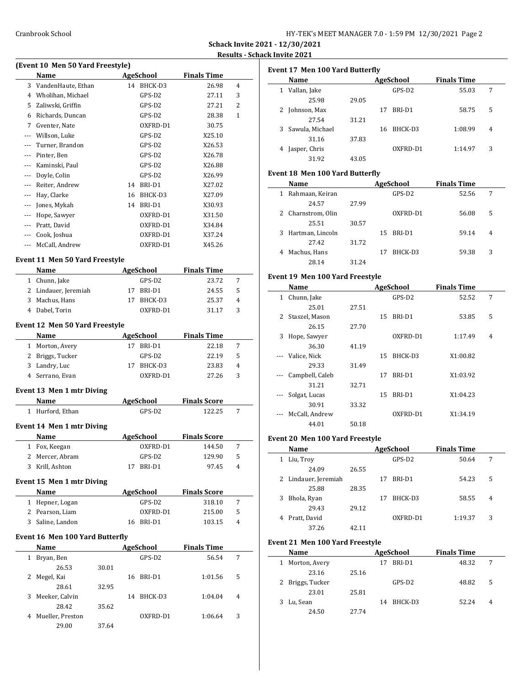| HY-TEK's MEET MANAGER 7.0 - 1:59 PM 12/30/2021 Page 2 |  |  |  |  |  |  |  |  |
|-------------------------------------------------------|--|--|--|--|--|--|--|--|
|-------------------------------------------------------|--|--|--|--|--|--|--|--|

**Schack Invite 2021 - 12/30/2021 Results - Schack Invite 2021**

 $\overline{a}$ 

 $\overline{a}$ 

 $\frac{1}{2}$ 

## **(Event 10 Men 50 Yard Freestyle) Name AgeSchool Finals Time** 3 VandenHaute, Ethan 14 BHCK-D3 26.98 4 4 Wholihan, Michael GPS-D2 27.11 3 5 Zaliwski, Griffin GPS-D2 27.21 2 6 Richards, Duncan GPS-D2 28.38 1 7 Gventer, Nate OXFRD-D1 30.75 --- Willson, Luke GPS-D2 X25.10 --- Turner, Brandon GPS-D2 X26.53 --- Pinter, Ben GPS-D2 X26.78 --- Kaminski, Paul GPS-D2 X26.88 --- Doyle, Colin GPS-D2 X26.99 --- Reiter, Andrew 14 BRI-D1 X27.02 --- Hay, Clarke 16 BHCK-D3 X27.09 --- Jones, Mykah 14 BRI-D1 X30.93 --- Hope, Sawyer 0XFRD-D1 X31.50 --- Pratt, David OXFRD-D1 X34.84 --- Cook, Joshua OXFRD-D1 X37.24 --- McCall, Andrew 0XFRD-D1 X45.26 **Event 11 Men 50 Yard Freestyle**

# **Name AgeSchool Finals Time** 1 Chunn, Jake GPS-D2 23.72 7 2 Lindauer, Jeremiah 17 BRI-D1 24.55 5

| 3 Machus, Hans | 17 BHCK-D3 | 25.37 | 4 |
|----------------|------------|-------|---|
| 4 Dabel, Torin | OXFRD-D1   | 31.17 |   |
| ----           |            |       |   |

### **Event 12 Men 50 Yard Freestyle**

| <b>Name</b> | AgeSchool                                                               |          | <b>Finals Time</b> |   |
|-------------|-------------------------------------------------------------------------|----------|--------------------|---|
|             |                                                                         | RRI-D1   | 22.18              |   |
|             |                                                                         | GPS-D2   | 22.19              | 5 |
|             | 17                                                                      | BHCK-D3  | 23.83              | 4 |
|             |                                                                         | OXFRD-D1 | 27.26              | 3 |
|             | 1 Morton, Avery<br>2 Briggs, Tucker<br>3 Landry, Luc<br>4 Serrano, Evan |          |                    |   |

### **Event 13 Men 1 mtr Diving**

| Name                      | AgeSchool | <b>Finals Score</b> |   |
|---------------------------|-----------|---------------------|---|
| Hurford, Ethan            | GPS-D2    | 122.25              | 7 |
| Event 14 Men 1 mtr Diving |           |                     |   |
| Name                      | AgeSchool | <b>Finals Score</b> |   |
| Fox, Keegan               | OXFRD-D1  | 144.50              | 7 |
| Mercer, Abram             | GPS-D2    | 129.90              | 5 |
| Krill, Ashton             | BRI-D1    | 97.45               | 4 |

### **Event 15 Men 1 mtr Diving**

| <b>Name</b>      | AgeSchool | <b>Finals Score</b> |    |  |
|------------------|-----------|---------------------|----|--|
| 1 Hepner, Logan  | GPS-D2    | 318.10              |    |  |
| 2 Pearson, Liam  | OXFRD-D1  | 215.00              | .5 |  |
| 3 Saline, Landon | 16 BRI-D1 | 103.15              | 4  |  |

#### **Event 16 Men 100 Yard Butterfly**

 $\overline{a}$ 

|   | Name             |       |    | <b>AgeSchool</b> | <b>Finals Time</b> |   |  |
|---|------------------|-------|----|------------------|--------------------|---|--|
| 1 | Bryan, Ben       |       |    | $GPS-D2$         | 56.54              | 7 |  |
|   | 26.53            | 30.01 |    |                  |                    |   |  |
| 2 | Megel, Kai       |       | 16 | BRI-D1           | 1:01.56            | 5 |  |
|   | 28.61            | 32.95 |    |                  |                    |   |  |
| 3 | Meeker, Calvin   |       | 14 | BHCK-D3          | 1:04.04            | 4 |  |
|   | 28.42            | 35.62 |    |                  |                    |   |  |
| 4 | Mueller, Preston |       |    | OXFRD-D1         | 1:06.64            | 3 |  |
|   | 29.00            | 37.64 |    |                  |                    |   |  |

|   | Name            |       |    | AgeSchool | <b>Finals Time</b> |                |
|---|-----------------|-------|----|-----------|--------------------|----------------|
| 1 | Vallan, Jake    |       |    | GPS-D2    | 55.03              | 7              |
|   | 25.98           | 29.05 |    |           |                    |                |
|   | Johnson, Max    |       | 17 | BRI-D1    | 58.75              | 5              |
|   | 27.54           | 31.21 |    |           |                    |                |
| 3 | Sawula, Michael |       | 16 | BHCK-D3   | 1:08.99            | $\overline{4}$ |
|   | 31.16           | 37.83 |    |           |                    |                |
| 4 | Jasper, Chris   |       |    | OXFRD-D1  | 1:14.97            | 3              |
|   | 31.92           | 43.05 |    |           |                    |                |
|   |                 |       |    |           |                    |                |

#### **Event 18 Men 100 Yard Butterfly**

|   | Name               |       |    | AgeSchool | <b>Finals Time</b> |       |                |
|---|--------------------|-------|----|-----------|--------------------|-------|----------------|
| 1 | Rahmaan, Keiran    |       |    | GPS-D2    |                    | 52.56 | 7              |
|   | 24.57              | 27.99 |    |           |                    |       |                |
|   | 2 Charnstrom, Olin |       |    | OXFRD-D1  |                    | 56.08 | 5              |
|   | 25.51              | 30.57 |    |           |                    |       |                |
| 3 | Hartman, Lincoln   |       | 15 | BRI-D1    |                    | 59.14 | $\overline{4}$ |
|   | 27.42              | 31.72 |    |           |                    |       |                |
| 4 | Machus, Hans       |       | 17 | BHCK-D3   |                    | 59.38 | 3              |
|   | 28.14              | 31.24 |    |           |                    |       |                |

#### **Event 19 Men 100 Yard Freestyle**

|   | Name            |       |    | <b>AgeSchool</b> | <b>Finals Time</b> |                |  |
|---|-----------------|-------|----|------------------|--------------------|----------------|--|
| 1 | Chunn, Jake     |       |    | GPS-D2           | 52.52              | 7              |  |
|   | 25.01           | 27.51 |    |                  |                    |                |  |
| 2 | Staszel, Mason  |       | 15 | BRI-D1           | 53.85              | 5              |  |
|   | 26.15           | 27.70 |    |                  |                    |                |  |
| 3 | Hope, Sawyer    |       |    | OXFRD-D1         | 1:17.49            | $\overline{4}$ |  |
|   | 36.30           | 41.19 |    |                  |                    |                |  |
|   | Valice, Nick    |       | 15 | BHCK-D3          | X1:00.82           |                |  |
|   | 29.33           | 31.49 |    |                  |                    |                |  |
|   | Campbell, Caleb |       | 17 | BRI-D1           | X1:03.92           |                |  |
|   | 31.21           | 32.71 |    |                  |                    |                |  |
|   | Solgat, Lucas   |       | 15 | BRI-D1           | X1:04.23           |                |  |
|   | 30.91           | 33.32 |    |                  |                    |                |  |
|   | McCall, Andrew  |       |    | OXFRD-D1         | X1:34.19           |                |  |
|   | 44.01           | 50.18 |    |                  |                    |                |  |

#### **Event 20 Men 100 Yard Freestyle**

|   | Name                 |       |    | AgeSchool | <b>Finals Time</b> |                |  |
|---|----------------------|-------|----|-----------|--------------------|----------------|--|
| 1 | Liu, Troy            |       |    | $GPS-D2$  | 50.64              | 7              |  |
|   | 24.09                | 26.55 |    |           |                    |                |  |
|   | 2 Lindauer, Jeremiah |       | 17 | BRI-D1    | 54.23              | 5              |  |
|   | 25.88                | 28.35 |    |           |                    |                |  |
| 3 | Bhola, Ryan          |       | 17 | BHCK-D3   | 58.55              | $\overline{4}$ |  |
|   | 29.43                | 29.12 |    |           |                    |                |  |
| 4 | Pratt, David         |       |    | OXFRD-D1  | 1:19.37            | 3              |  |
|   | 37.26                | 42.11 |    |           |                    |                |  |

#### **Event 21 Men 100 Yard Freestyle**

| Name             |       | AgeSchool | <b>Finals Time</b> |   |
|------------------|-------|-----------|--------------------|---|
| Morton, Avery    | 17    | BRI-D1    | 48.32              | 7 |
| 23.16            | 25.16 |           |                    |   |
| 2 Briggs, Tucker |       | $GPS-D2$  | 48.82              | 5 |
| 23.01            | 25.81 |           |                    |   |
| Lu, Sean         | 14    | BHCK-D3   | 52.24              | 4 |
| 24.50            | 27.74 |           |                    |   |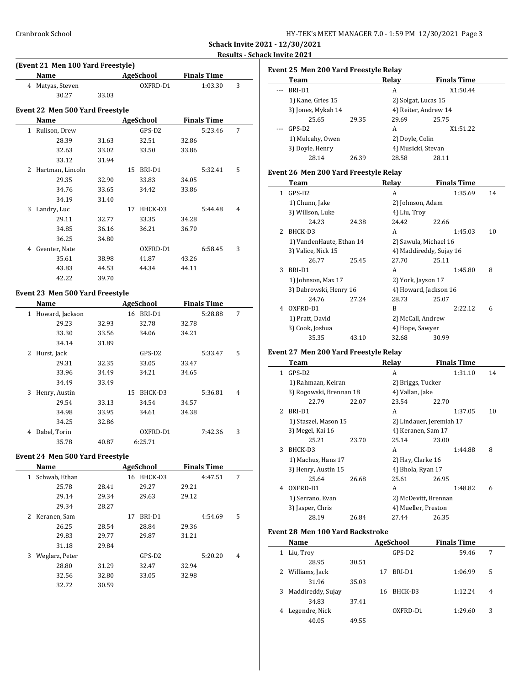| HY-TEK's MEET MANAGER 7.0 - 1:59 PM 12/30/2021 Page 3 |  |  |  |
|-------------------------------------------------------|--|--|--|
|-------------------------------------------------------|--|--|--|

**Schack Invite 2021 - 12/30/2021 Results - Schack Invite 2021**

|                          | (Event 21 Men 100 Yard Freestyle) |       |    |                  |       |                    |   |  |  |  |  |
|--------------------------|-----------------------------------|-------|----|------------------|-------|--------------------|---|--|--|--|--|
|                          | Name                              |       |    | <b>AgeSchool</b> |       | <b>Finals Time</b> |   |  |  |  |  |
| 4                        | Matyas, Steven                    |       |    | OXFRD-D1         |       | 1:03.30            | 3 |  |  |  |  |
|                          | 30.27                             | 33.03 |    |                  |       |                    |   |  |  |  |  |
|                          | Event 22 Men 500 Yard Freestyle   |       |    |                  |       |                    |   |  |  |  |  |
|                          | Name                              |       |    | AgeSchool        |       | <b>Finals Time</b> |   |  |  |  |  |
| $\mathbf{1}$             | Rulison, Drew                     |       |    | GPS-D2           |       | 5:23.46            | 7 |  |  |  |  |
|                          | 28.39                             | 31.63 |    | 32.51            | 32.86 |                    |   |  |  |  |  |
|                          | 32.63                             | 33.02 |    | 33.50            | 33.86 |                    |   |  |  |  |  |
|                          | 33.12                             | 31.94 |    |                  |       |                    |   |  |  |  |  |
| $\overline{\mathcal{L}}$ | Hartman, Lincoln                  |       | 15 | BRI-D1           |       | 5:32.41            | 5 |  |  |  |  |
|                          | 29.35                             | 32.90 |    | 33.83            | 34.05 |                    |   |  |  |  |  |
|                          | 34.76                             | 33.65 |    | 34.42            | 33.86 |                    |   |  |  |  |  |
|                          | 34.19                             | 31.40 |    |                  |       |                    |   |  |  |  |  |
| 3                        | Landry, Luc                       |       | 17 | BHCK-D3          |       | 5:44.48            | 4 |  |  |  |  |
|                          | 29.11                             | 32.77 |    | 33.35            | 34.28 |                    |   |  |  |  |  |
|                          | 34.85                             | 36.16 |    | 36.21            | 36.70 |                    |   |  |  |  |  |
|                          | 36.25                             | 34.80 |    |                  |       |                    |   |  |  |  |  |
| 4                        | Gventer, Nate                     |       |    | OXFRD-D1         |       | 6:58.45            | 3 |  |  |  |  |
|                          | 35.61                             | 38.98 |    | 41.87            | 43.26 |                    |   |  |  |  |  |
|                          | 43.83                             | 44.53 |    | 44.34            | 44.11 |                    |   |  |  |  |  |
|                          | 42.22                             | 39.70 |    |                  |       |                    |   |  |  |  |  |

### **Event 23 Men 500 Yard Freestyle**

|   | Name            |       |    | AgeSchool |       | <b>Finals Time</b> |   |
|---|-----------------|-------|----|-----------|-------|--------------------|---|
| 1 | Howard, Jackson |       | 16 | BRI-D1    |       | 5:28.88            | 7 |
|   | 29.23           | 32.93 |    | 32.78     | 32.78 |                    |   |
|   | 33.30           | 33.56 |    | 34.06     | 34.21 |                    |   |
|   | 34.14           | 31.89 |    |           |       |                    |   |
| 2 | Hurst, Jack     |       |    | GPS-D2    |       | 5:33.47            | 5 |
|   | 29.31           | 32.35 |    | 33.05     | 33.47 |                    |   |
|   | 33.96           | 34.49 |    | 34.21     | 34.65 |                    |   |
|   | 34.49           | 33.49 |    |           |       |                    |   |
| 3 | Henry, Austin   |       | 15 | BHCK-D3   |       | 5:36.81            | 4 |
|   | 29.54           | 33.13 |    | 34.54     | 34.57 |                    |   |
|   | 34.98           | 33.95 |    | 34.61     | 34.38 |                    |   |
|   | 34.25           | 32.86 |    |           |       |                    |   |
| 4 | Dabel, Torin    |       |    | OXFRD-D1  |       | 7:42.36            | 3 |
|   | 35.78           | 40.87 |    | 6:25.71   |       |                    |   |

### **Event 24 Men 500 Yard Freestyle**

|       | 16 | BHCK-D3 |                  | 4:47.51 | 7                  |
|-------|----|---------|------------------|---------|--------------------|
| 28.41 |    | 29.27   | 29.21            |         |                    |
| 29.34 |    | 29.63   | 29.12            |         |                    |
| 28.27 |    |         |                  |         |                    |
|       | 17 | BRI-D1  |                  | 4:54.69 | 5                  |
| 28.54 |    | 28.84   | 29.36            |         |                    |
| 29.77 |    | 29.87   | 31.21            |         |                    |
| 29.84 |    |         |                  |         |                    |
|       |    | GPS-D2  |                  | 5:20.20 | 4                  |
| 31.29 |    | 32.47   | 32.94            |         |                    |
| 32.80 |    | 33.05   | 32.98            |         |                    |
| 30.59 |    |         |                  |         |                    |
|       |    |         | <b>AgeSchool</b> |         | <b>Finals Time</b> |

|              | Event 25 Men 200 Yard Freestyle Relay   |       |    |                       |                          |          |    |
|--------------|-----------------------------------------|-------|----|-----------------------|--------------------------|----------|----|
|              | Team                                    |       |    | Relay                 | <b>Finals Time</b>       |          |    |
| ---          | BRI-D1                                  |       |    | A                     |                          | X1:50.44 |    |
|              | 1) Kane, Gries 15                       |       |    | 2) Solgat, Lucas 15   |                          |          |    |
|              | 3) Jones, Mykah 14                      |       |    | 4) Reiter, Andrew 14  |                          |          |    |
|              | 25.65                                   | 29.35 |    | 29.69                 | 25.75                    |          |    |
|              | GPS-D2                                  |       |    | A                     |                          | X1:51.22 |    |
|              | 1) Mulcahy, Owen                        |       |    | 2) Doyle, Colin       |                          |          |    |
|              | 3) Doyle, Henry                         |       |    | 4) Musicki, Stevan    |                          |          |    |
|              | 28.14                                   | 26.39 |    | 28.58                 | 28.11                    |          |    |
|              | Event 26 Men 200 Yard Freestyle Relay   |       |    |                       |                          |          |    |
|              | Team                                    |       |    | Relay                 | <b>Finals Time</b>       |          |    |
| $\mathbf{1}$ | GPS-D2                                  |       |    | A                     |                          | 1:35.69  | 14 |
|              | 1) Chunn, Jake                          |       |    |                       |                          |          |    |
|              |                                         |       |    | 2) Johnson, Adam      |                          |          |    |
|              | 3) Willson, Luke                        |       |    | 4) Liu, Troy          |                          |          |    |
|              | 24.23                                   | 24.38 |    | 24.42                 | 22.66                    |          |    |
| 2            | BHCK-D3                                 |       |    | A                     |                          | 1:45.03  | 10 |
|              | 1) VandenHaute, Ethan 14                |       |    | 2) Sawula, Michael 16 |                          |          |    |
|              | 3) Valice, Nick 15                      |       |    |                       | 4) Maddireddy, Sujay 16  |          |    |
|              | 26.77                                   | 25.45 |    | 27.70                 | 25.11                    |          |    |
| 3            | BRI-D1                                  |       |    | A                     |                          | 1:45.80  | 8  |
|              | 1) Johnson, Max 17                      |       |    | 2) York, Jayson 17    |                          |          |    |
|              | 3) Dabrowski, Henry 16                  |       |    |                       | 4) Howard, Jackson 16    |          |    |
|              | 24.76                                   | 27.24 |    | 28.73                 | 25.07                    |          |    |
| 4            | OXFRD-D1                                |       |    | B                     |                          | 2:22.12  | 6  |
|              | 1) Pratt, David                         |       |    | 2) McCall, Andrew     |                          |          |    |
|              | 3) Cook, Joshua                         |       |    | 4) Hope, Sawyer       |                          |          |    |
|              | 35.35                                   | 43.10 |    | 32.68                 | 30.99                    |          |    |
|              |                                         |       |    |                       |                          |          |    |
|              | Event 27 Men 200 Yard Freestyle Relay   |       |    |                       |                          |          |    |
|              | Team                                    |       |    | Relay                 | <b>Finals Time</b>       |          |    |
| $\mathbf{1}$ | GPS-D2                                  |       |    | A                     |                          | 1:31.10  | 14 |
|              | 1) Rahmaan, Keiran                      |       |    |                       | 2) Briggs, Tucker        |          |    |
|              | 3) Rogowski, Brennan 18                 |       |    | 4) Vallan, Jake       |                          |          |    |
|              | 22.79                                   | 22.07 |    | 23.54                 | 22.70                    |          |    |
| 2            | BRI-D1                                  |       |    | A                     |                          | 1:37.05  | 10 |
|              | 1) Staszel, Mason 15                    |       |    |                       | 2) Lindauer, Jeremiah 17 |          |    |
|              | 3) Megel, Kai 16                        |       |    | 4) Keranen, Sam 17    |                          |          |    |
|              | 25.21                                   | 23.70 |    | 25.14                 | 23.00                    |          |    |
| 3            | BHCK-D3                                 |       |    | A                     |                          | 1:44.88  | 8  |
|              | 1) Machus, Hans 17                      |       |    | 2) Hay, Clarke 16     |                          |          |    |
|              | 3) Henry, Austin 15                     |       |    | 4) Bhola, Ryan 17     |                          |          |    |
|              | 25.64                                   | 26.68 |    | 25.61                 | 26.95                    |          |    |
|              | 4 OXFRD-D1                              |       |    | A                     |                          | 1:48.82  | 6  |
|              | 1) Serrano, Evan                        |       |    | 2) McDevitt, Brennan  |                          |          |    |
|              | 3) Jasper, Chris                        |       |    | 4) Mueller, Preston   |                          |          |    |
|              | 28.19                                   | 26.84 |    | 27.44                 | 26.35                    |          |    |
|              |                                         |       |    |                       |                          |          |    |
|              | <b>Event 28 Men 100 Yard Backstroke</b> |       |    |                       |                          |          |    |
|              | Name                                    |       |    | <b>AgeSchool</b>      | <b>Finals Time</b>       |          |    |
| $\mathbf{1}$ | Liu, Troy                               |       |    | GPS-D2                |                          | 59.46    | 7  |
|              | 28.95                                   | 30.51 |    |                       |                          |          |    |
| 2            | Williams, Jack                          |       | 17 | BRI-D1                |                          | 1:06.99  | 5  |
|              | 31.96                                   | 35.03 |    |                       |                          |          |    |
| 3            | Maddireddy, Sujay                       |       |    | 16 BHCK-D3            |                          | 1:12.24  | 4  |

34.83 37.41

40.05 49.55

4 Legendre, Nick OXFRD-D1 1:29.60 3